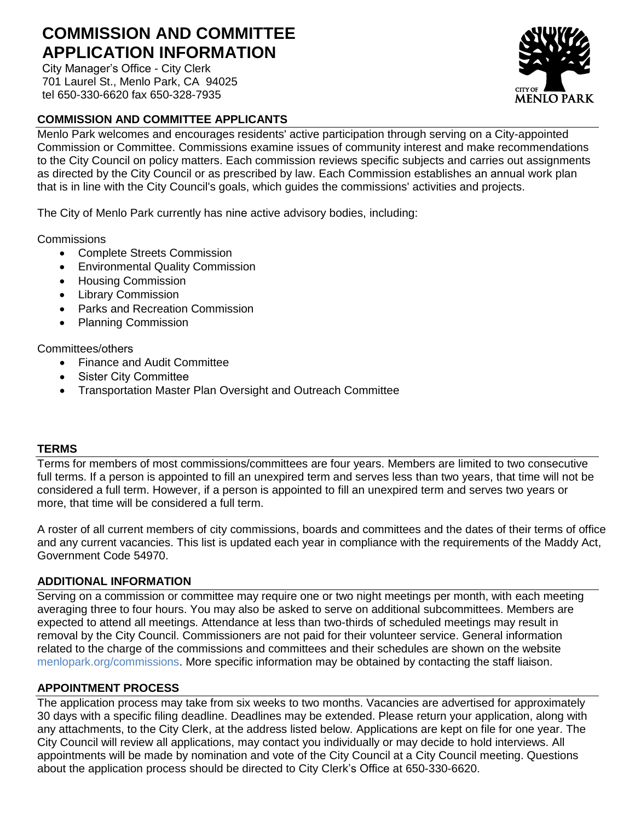# **COMMISSION AND COMMITTEE APPLICATION INFORMATION**

City Manager's Office - City Clerk 701 Laurel St., Menlo Park, CA 94025 tel 650-330-6620 fax 650-328-7935

# **COMMISSION AND COMMITTEE APPLICANTS**

Menlo Park welcomes and encourages residents' active participation through serving on a City-appointed Commission or Committee. Commissions examine issues of community interest and make recommendations to the City Council on policy matters. Each commission reviews specific subjects and carries out assignments as directed by the City Council or as prescribed by law. Each Commission establishes an annual work plan that is in line with the City Council's goals, which guides the commissions' activities and projects.

The City of Menlo Park currently has nine active advisory bodies, including:

**Commissions** 

- Complete Streets Commission
- Environmental Quality Commission
- **•** Housing Commission
- Library Commission
- Parks and Recreation Commission
- Planning Commission

#### Committees/others

- Finance and Audit Committee
- Sister City Committee
- Transportation Master Plan Oversight and Outreach Committee

#### **TERMS**

Terms for members of most commissions/committees are four years. Members are limited to two consecutive full terms. If a person is appointed to fill an unexpired term and serves less than two years, that time will not be considered a full term. However, if a person is appointed to fill an unexpired term and serves two years or more, that time will be considered a full term.

A roster of all current members of city commissions, boards and committees and the dates of their terms of office and any current vacancies. This list is updated each year in compliance with the requirements of the Maddy Act, Government Code 54970.

## **ADDITIONAL INFORMATION**

Serving on a commission or committee may require one or two night meetings per month, with each meeting averaging three to four hours. You may also be asked to serve on additional subcommittees. Members are expected to attend all meetings. Attendance at less than two-thirds of scheduled meetings may result in removal by the City Council. Commissioners are not paid for their volunteer service. General information [related to the charge of the c](http://www.menlopark.org/commissions)ommissions and committees and their schedules are shown on the website menlopark.org/commissions. More specific information may be obtained by contacting the staff liaison.

## **APPOINTMENT PROCESS**

The application process may take from six weeks to two months. Vacancies are advertised for approximately 30 days with a specific filing deadline. Deadlines may be extended. Please return your application, along with any attachments, to the City Clerk, at the address listed below. Applications are kept on file for one year. The City Council will review all applications, may contact you individually or may decide to hold interviews. All appointments will be made by nomination and vote of the City Council at a City Council meeting. Questions about the application process should be directed to City Clerk's Office at 650-330-6620.

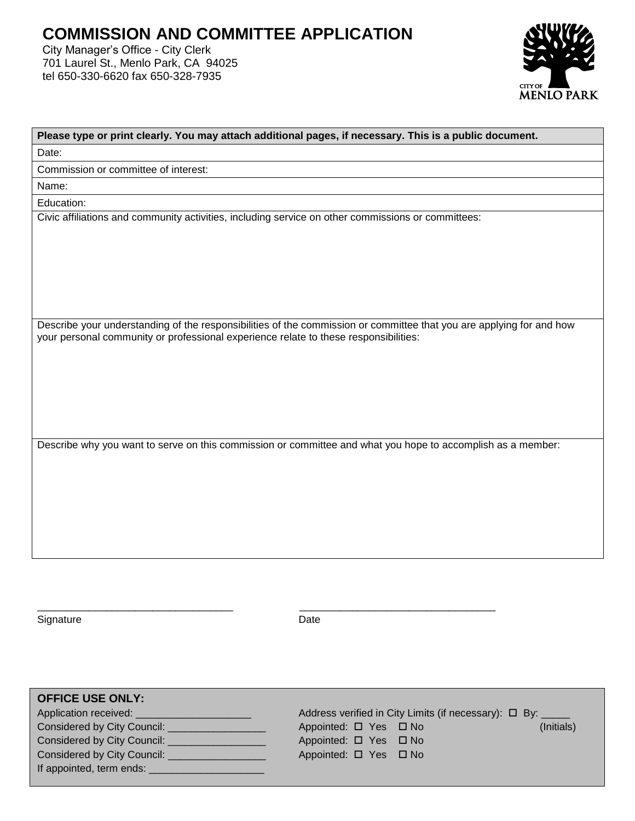# **COMMISSION AND COMMITTEE APPLICATION**

City Manager's Office - City Clerk 701 Laurel St., Menlo Park, CA 94025 tel 650-330-6620 fax 650-328-7935



| Please type or print clearly. You may attach additional pages, if necessary. This is a public document.              |  |  |  |  |
|----------------------------------------------------------------------------------------------------------------------|--|--|--|--|
| Date:                                                                                                                |  |  |  |  |
| Commission or committee of interest:                                                                                 |  |  |  |  |
| Name:                                                                                                                |  |  |  |  |
| Education:                                                                                                           |  |  |  |  |
| Civic affiliations and community activities, including service on other commissions or committees:                   |  |  |  |  |
|                                                                                                                      |  |  |  |  |
|                                                                                                                      |  |  |  |  |
|                                                                                                                      |  |  |  |  |
|                                                                                                                      |  |  |  |  |
|                                                                                                                      |  |  |  |  |
| Describe your understanding of the responsibilities of the commission or committee that you are applying for and how |  |  |  |  |
| your personal community or professional experience relate to these responsibilities:                                 |  |  |  |  |
|                                                                                                                      |  |  |  |  |
|                                                                                                                      |  |  |  |  |
|                                                                                                                      |  |  |  |  |
|                                                                                                                      |  |  |  |  |
|                                                                                                                      |  |  |  |  |
|                                                                                                                      |  |  |  |  |
| Describe why you want to serve on this commission or committee and what you hope to accomplish as a member:          |  |  |  |  |
|                                                                                                                      |  |  |  |  |
|                                                                                                                      |  |  |  |  |
|                                                                                                                      |  |  |  |  |
|                                                                                                                      |  |  |  |  |
|                                                                                                                      |  |  |  |  |
|                                                                                                                      |  |  |  |  |
|                                                                                                                      |  |  |  |  |

Signature Date Date

\_\_\_\_\_\_\_\_\_\_\_\_\_\_\_\_\_\_\_\_\_\_\_\_\_\_\_\_\_\_\_\_\_\_ \_\_\_\_\_\_\_\_\_\_\_\_\_\_\_\_\_\_\_\_\_\_\_\_\_\_\_\_\_\_\_\_\_\_

**OFFICE USE ONLY:** Application received: \_\_\_\_\_\_\_\_\_\_\_\_\_\_\_\_\_\_\_\_\_\_\_\_\_\_ Address verified in City Limits (if necessary):  $\Box$  By: Considered by City Council: \_\_\_\_\_\_\_\_\_\_\_\_\_\_\_\_\_ Appointed: Yes No (Initials) Considered by City Council: \_\_\_\_\_\_\_\_\_\_\_\_\_\_\_\_\_\_\_\_\_\_\_\_\_ Appointed:  $\Box$  Yes  $\Box$  No Considered by City Council: \_\_\_\_\_\_\_\_\_\_\_\_\_\_\_\_\_\_\_\_\_\_\_\_\_\_ Appointed:  $\Box$  Yes  $\Box$  No If appointed, term ends: \_\_\_\_\_\_\_\_\_\_\_\_\_\_\_\_\_\_\_\_